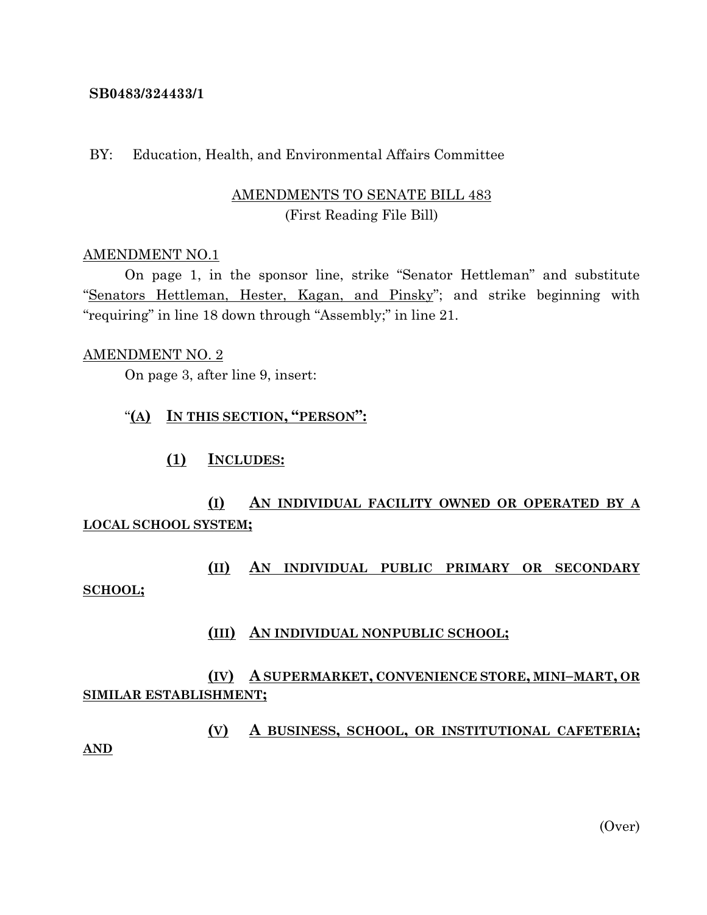#### **SB0483/324433/1**

### BY: Education, Health, and Environmental Affairs Committee

## AMENDMENTS TO SENATE BILL 483 (First Reading File Bill)

#### AMENDMENT NO.1

On page 1, in the sponsor line, strike "Senator Hettleman" and substitute "Senators Hettleman, Hester, Kagan, and Pinsky"; and strike beginning with "requiring" in line 18 down through "Assembly;" in line 21.

#### AMENDMENT NO. 2

On page 3, after line 9, insert:

### "**(A) IN THIS SECTION, "PERSON":**

**(1) INCLUDES:**

# **(I) AN INDIVIDUAL FACILITY OWNED OR OPERATED BY A LOCAL SCHOOL SYSTEM;**

# **(II) AN INDIVIDUAL PUBLIC PRIMARY OR SECONDARY SCHOOL;**

## **(III) AN INDIVIDUAL NONPUBLIC SCHOOL;**

## **(IV) A SUPERMARKET, CONVENIENCE STORE, MINI–MART, OR SIMILAR ESTABLISHMENT;**

**(V) A BUSINESS, SCHOOL, OR INSTITUTIONAL CAFETERIA; AND**

(Over)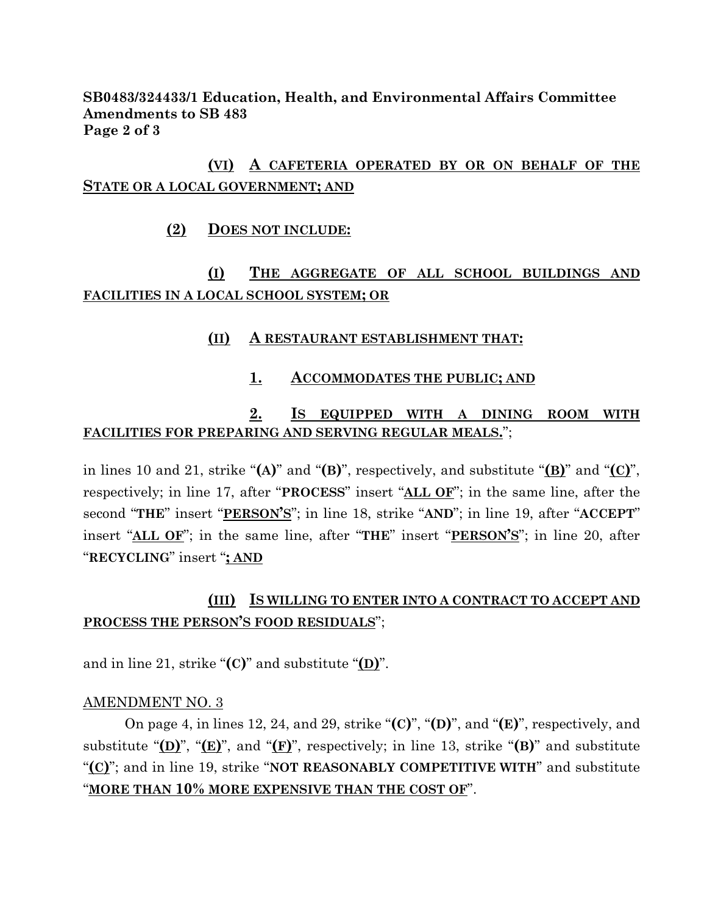**SB0483/324433/1 Education, Health, and Environmental Affairs Committee Amendments to SB 483 Page 2 of 3**

# **(VI) A CAFETERIA OPERATED BY OR ON BEHALF OF THE STATE OR A LOCAL GOVERNMENT; AND**

## **(2) DOES NOT INCLUDE:**

# **(I) THE AGGREGATE OF ALL SCHOOL BUILDINGS AND FACILITIES IN A LOCAL SCHOOL SYSTEM; OR**

## **(II) A RESTAURANT ESTABLISHMENT THAT:**

## **1. ACCOMMODATES THE PUBLIC; AND**

## **2. IS EQUIPPED WITH A DINING ROOM WITH FACILITIES FOR PREPARING AND SERVING REGULAR MEALS.**";

in lines 10 and 21, strike "**(A)**" and "**(B)**", respectively, and substitute "**(B)**" and "**(C)**", respectively; in line 17, after "**PROCESS**" insert "**ALL OF**"; in the same line, after the second "**THE**" insert "**PERSON'S**"; in line 18, strike "**AND**"; in line 19, after "**ACCEPT**" insert "**ALL OF**"; in the same line, after "**THE**" insert "**PERSON'S**"; in line 20, after "**RECYCLING**" insert "**; AND**

# **(III) IS WILLING TO ENTER INTO A CONTRACT TO ACCEPT AND PROCESS THE PERSON'S FOOD RESIDUALS**";

and in line 21, strike "**(C)**" and substitute "**(D)**".

## AMENDMENT NO. 3

On page 4, in lines 12, 24, and 29, strike "**(C)**", "**(D)**", and "**(E)**", respectively, and substitute " $(D)$ ", " $(E)$ ", and " $(F)$ ", respectively; in line 13, strike " $(B)$ " and substitute "**(C)**"; and in line 19, strike "**NOT REASONABLY COMPETITIVE WITH**" and substitute "**MORE THAN 10% MORE EXPENSIVE THAN THE COST OF**".